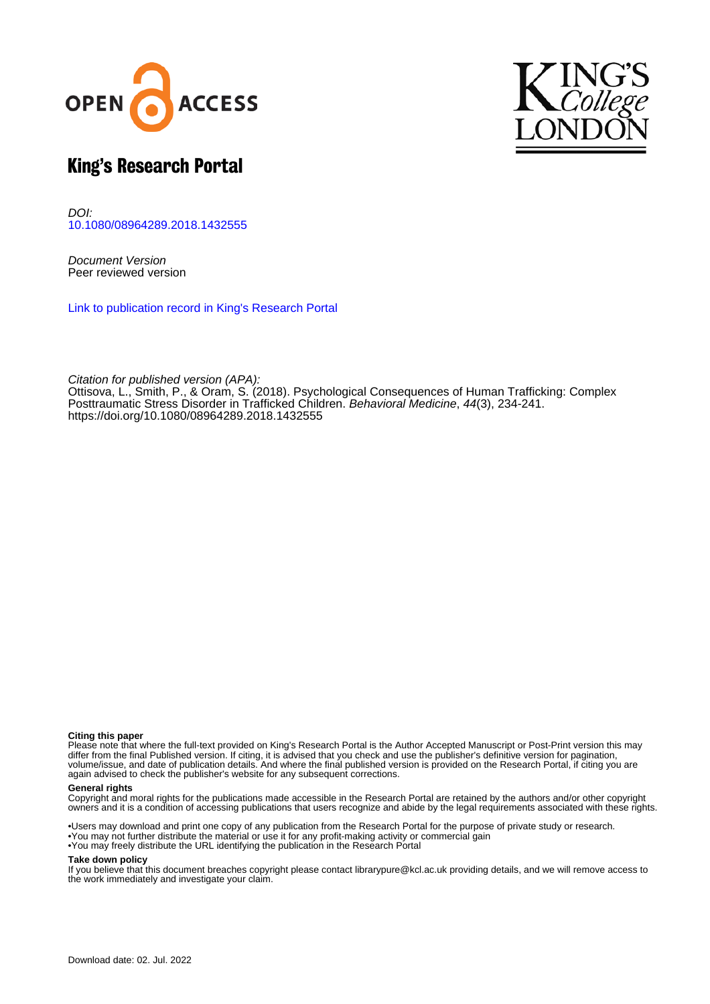



# King's Research Portal

DOI: [10.1080/08964289.2018.1432555](https://doi.org/10.1080/08964289.2018.1432555)

Document Version Peer reviewed version

[Link to publication record in King's Research Portal](https://kclpure.kcl.ac.uk/portal/en/publications/psychological-consequences-of-human-trafficking(b5b11fa7-a505-4ea2-9f80-d1d52d8bf9ea).html)

Citation for published version (APA):

[Ottisova, L.](https://kclpure.kcl.ac.uk/portal/en/persons/livia-ottisova(c51ebef5-d4af-4938-b3d7-5e50b93e0e79).html)[, Smith, P.](/portal/patrick.smith.html)[, & Oram, S.](/portal/sian.oram.html) (2018). [Psychological Consequences of Human Trafficking: Complex](https://kclpure.kcl.ac.uk/portal/en/publications/psychological-consequences-of-human-trafficking(b5b11fa7-a505-4ea2-9f80-d1d52d8bf9ea).html) [Posttraumatic Stress Disorder in Trafficked Children](https://kclpure.kcl.ac.uk/portal/en/publications/psychological-consequences-of-human-trafficking(b5b11fa7-a505-4ea2-9f80-d1d52d8bf9ea).html). [Behavioral Medicine](https://kclpure.kcl.ac.uk/portal/en/journals/behavioral-medicine(dcec3b16-3859-41ba-8997-8272578e7107).html), 44(3), 234-241. <https://doi.org/10.1080/08964289.2018.1432555>

#### **Citing this paper**

Please note that where the full-text provided on King's Research Portal is the Author Accepted Manuscript or Post-Print version this may differ from the final Published version. If citing, it is advised that you check and use the publisher's definitive version for pagination, volume/issue, and date of publication details. And where the final published version is provided on the Research Portal, if citing you are again advised to check the publisher's website for any subsequent corrections.

#### **General rights**

Copyright and moral rights for the publications made accessible in the Research Portal are retained by the authors and/or other copyright owners and it is a condition of accessing publications that users recognize and abide by the legal requirements associated with these rights.

•Users may download and print one copy of any publication from the Research Portal for the purpose of private study or research. •You may not further distribute the material or use it for any profit-making activity or commercial gain •You may freely distribute the URL identifying the publication in the Research Portal

#### **Take down policy**

If you believe that this document breaches copyright please contact librarypure@kcl.ac.uk providing details, and we will remove access to the work immediately and investigate your claim.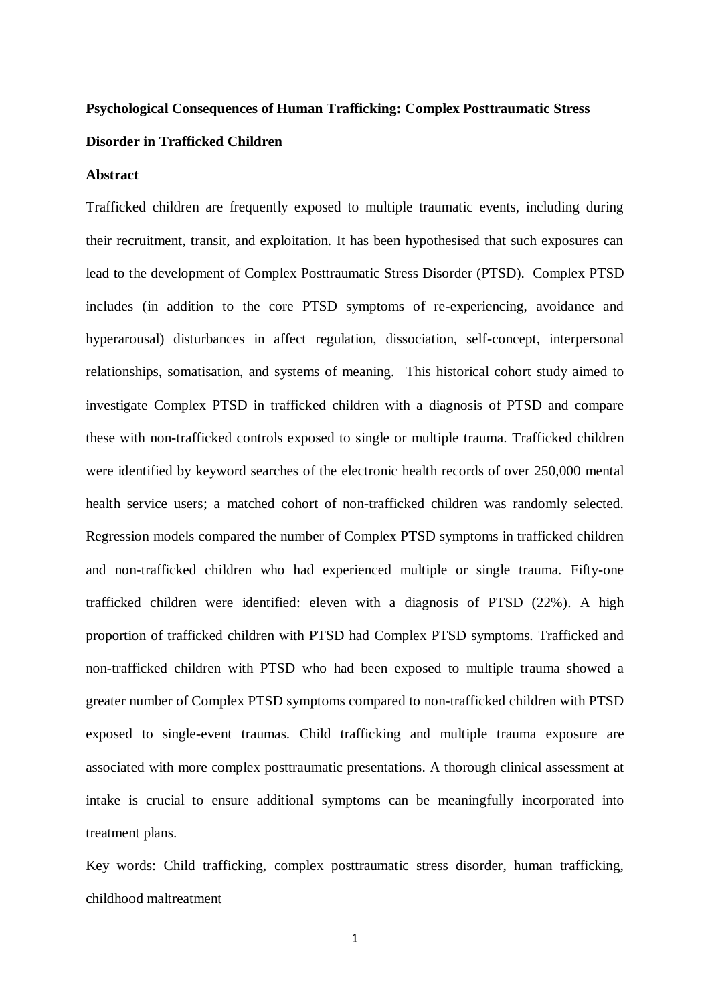# **Psychological Consequences of Human Trafficking: Complex Posttraumatic Stress Disorder in Trafficked Children**

#### **Abstract**

Trafficked children are frequently exposed to multiple traumatic events, including during their recruitment, transit, and exploitation. It has been hypothesised that such exposures can lead to the development of Complex Posttraumatic Stress Disorder (PTSD). Complex PTSD includes (in addition to the core PTSD symptoms of re-experiencing, avoidance and hyperarousal) disturbances in affect regulation, dissociation, self-concept, interpersonal relationships, somatisation, and systems of meaning. This historical cohort study aimed to investigate Complex PTSD in trafficked children with a diagnosis of PTSD and compare these with non-trafficked controls exposed to single or multiple trauma. Trafficked children were identified by keyword searches of the electronic health records of over 250,000 mental health service users; a matched cohort of non-trafficked children was randomly selected. Regression models compared the number of Complex PTSD symptoms in trafficked children and non-trafficked children who had experienced multiple or single trauma. Fifty-one trafficked children were identified: eleven with a diagnosis of PTSD (22%). A high proportion of trafficked children with PTSD had Complex PTSD symptoms. Trafficked and non-trafficked children with PTSD who had been exposed to multiple trauma showed a greater number of Complex PTSD symptoms compared to non-trafficked children with PTSD exposed to single-event traumas. Child trafficking and multiple trauma exposure are associated with more complex posttraumatic presentations. A thorough clinical assessment at intake is crucial to ensure additional symptoms can be meaningfully incorporated into treatment plans.

Key words: Child trafficking, complex posttraumatic stress disorder, human trafficking, childhood maltreatment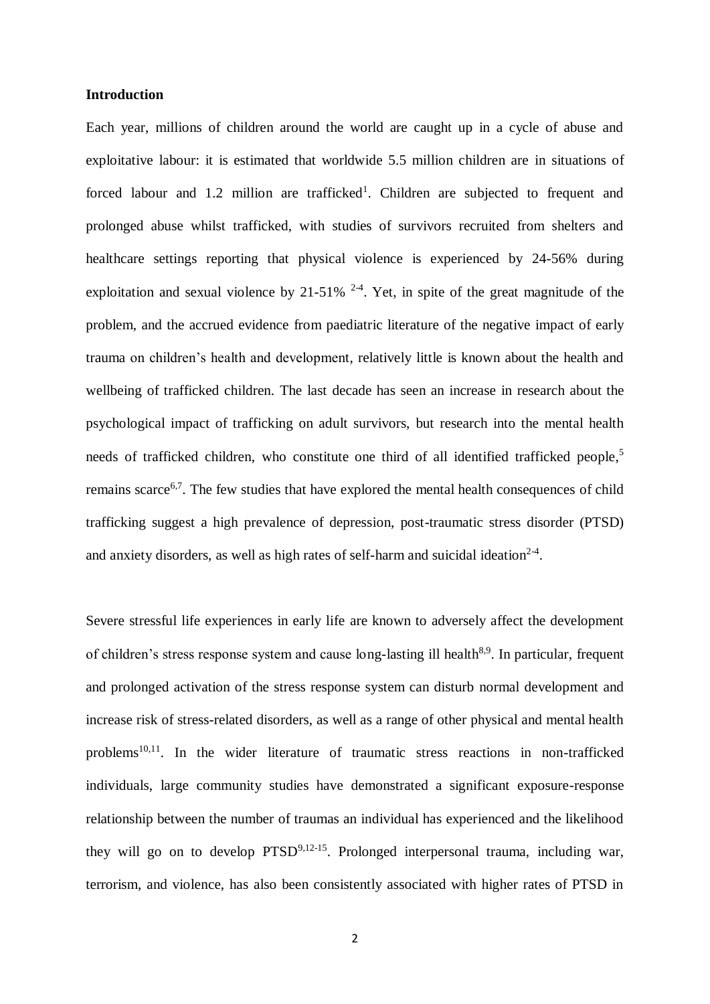## **Introduction**

Each year, millions of children around the world are caught up in a cycle of abuse and exploitative labour: it is estimated that worldwide 5.5 million children are in situations of forced labour and  $1.2$  million are trafficked<sup>1</sup>. Children are subjected to frequent and prolonged abuse whilst trafficked, with studies of survivors recruited from shelters and healthcare settings reporting that physical violence is experienced by 24-56% during exploitation and sexual violence by 21-51%  $^{2-4}$ . Yet, in spite of the great magnitude of the problem, and the accrued evidence from paediatric literature of the negative impact of early trauma on children's health and development, relatively little is known about the health and wellbeing of trafficked children. The last decade has seen an increase in research about the psychological impact of trafficking on adult survivors, but research into the mental health needs of trafficked children, who constitute one third of all identified trafficked people, 5 remains scarce<sup>6,7</sup>. The few studies that have explored the mental health consequences of child trafficking suggest a high prevalence of depression, post-traumatic stress disorder (PTSD) and anxiety disorders, as well as high rates of self-harm and suicidal ideation<sup>2-4</sup>.

Severe stressful life experiences in early life are known to adversely affect the development of children's stress response system and cause long-lasting ill health<sup>8,9</sup>. In particular, frequent and prolonged activation of the stress response system can disturb normal development and increase risk of stress-related disorders, as well as a range of other physical and mental health problems<sup>10,11</sup>. In the wider literature of traumatic stress reactions in non-trafficked individuals, large community studies have demonstrated a significant exposure-response relationship between the number of traumas an individual has experienced and the likelihood they will go on to develop  $PTSD^{9,12-15}$ . Prolonged interpersonal trauma, including war, terrorism, and violence, has also been consistently associated with higher rates of PTSD in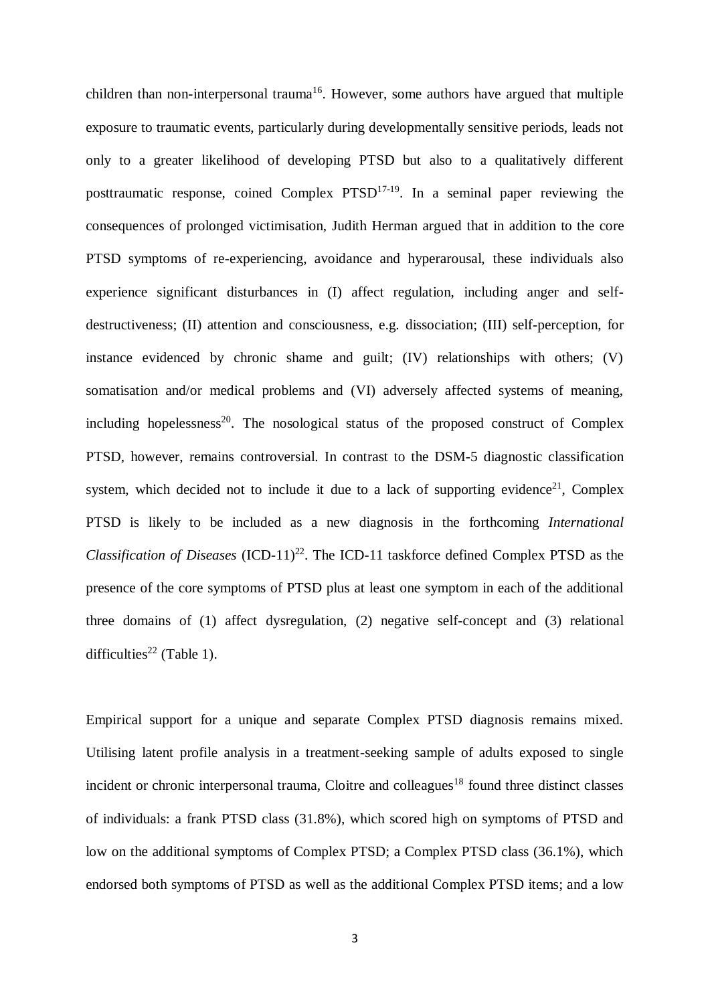children than non-interpersonal trauma<sup>16</sup>. However, some authors have argued that multiple exposure to traumatic events, particularly during developmentally sensitive periods, leads not only to a greater likelihood of developing PTSD but also to a qualitatively different posttraumatic response, coined Complex  $PTSD<sup>17-19</sup>$ . In a seminal paper reviewing the consequences of prolonged victimisation, Judith Herman argued that in addition to the core PTSD symptoms of re-experiencing, avoidance and hyperarousal, these individuals also experience significant disturbances in (I) affect regulation, including anger and selfdestructiveness; (II) attention and consciousness, e.g. dissociation; (III) self-perception, for instance evidenced by chronic shame and guilt; (IV) relationships with others; (V) somatisation and/or medical problems and (VI) adversely affected systems of meaning, including hopelessness<sup>20</sup>. The nosological status of the proposed construct of Complex PTSD, however, remains controversial. In contrast to the DSM-5 diagnostic classification system, which decided not to include it due to a lack of supporting evidence<sup>21</sup>, Complex PTSD is likely to be included as a new diagnosis in the forthcoming *International Classification of Diseases*  $(ICD-11)<sup>22</sup>$ . The ICD-11 taskforce defined Complex PTSD as the presence of the core symptoms of PTSD plus at least one symptom in each of the additional three domains of (1) affect dysregulation, (2) negative self-concept and (3) relational difficulties<sup>22</sup> (Table 1).

Empirical support for a unique and separate Complex PTSD diagnosis remains mixed. Utilising latent profile analysis in a treatment-seeking sample of adults exposed to single incident or chronic interpersonal trauma, Cloitre and colleagues<sup>18</sup> found three distinct classes of individuals: a frank PTSD class (31.8%), which scored high on symptoms of PTSD and low on the additional symptoms of Complex PTSD; a Complex PTSD class (36.1%), which endorsed both symptoms of PTSD as well as the additional Complex PTSD items; and a low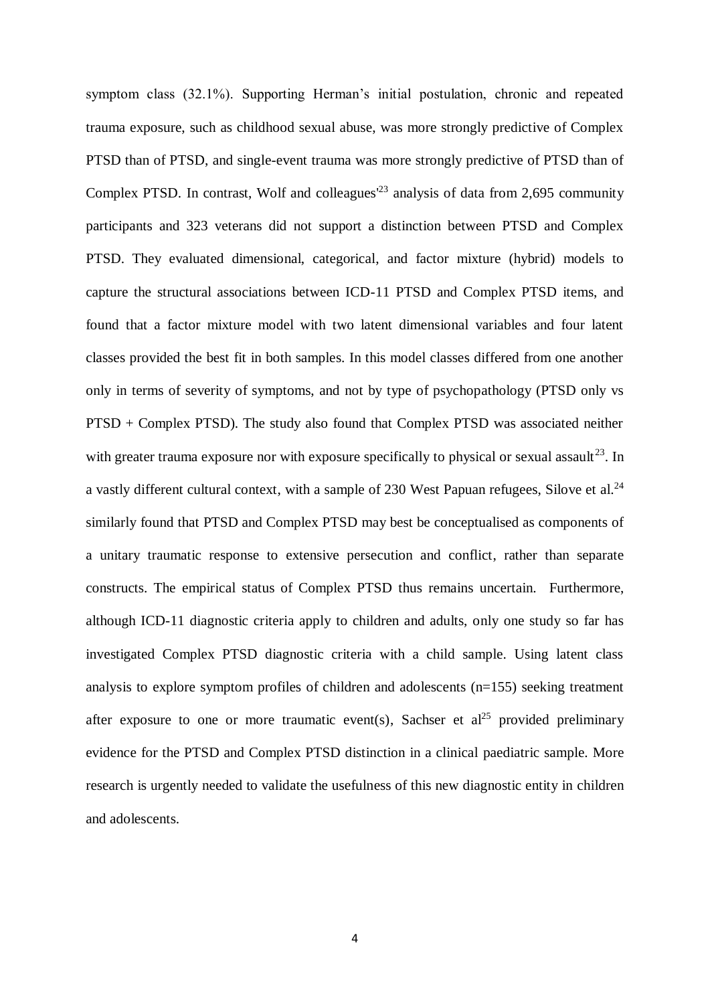symptom class (32.1%). Supporting Herman's initial postulation, chronic and repeated trauma exposure, such as childhood sexual abuse, was more strongly predictive of Complex PTSD than of PTSD, and single-event trauma was more strongly predictive of PTSD than of Complex PTSD. In contrast, Wolf and colleagues<sup> $23$ </sup> analysis of data from 2,695 community participants and 323 veterans did not support a distinction between PTSD and Complex PTSD. They evaluated dimensional, categorical, and factor mixture (hybrid) models to capture the structural associations between ICD-11 PTSD and Complex PTSD items, and found that a factor mixture model with two latent dimensional variables and four latent classes provided the best fit in both samples. In this model classes differed from one another only in terms of severity of symptoms, and not by type of psychopathology (PTSD only vs PTSD + Complex PTSD). The study also found that Complex PTSD was associated neither with greater trauma exposure nor with exposure specifically to physical or sexual assault<sup>23</sup>. In a vastly different cultural context, with a sample of 230 West Papuan refugees, Silove et al.<sup>24</sup> similarly found that PTSD and Complex PTSD may best be conceptualised as components of a unitary traumatic response to extensive persecution and conflict, rather than separate constructs. The empirical status of Complex PTSD thus remains uncertain. Furthermore, although ICD-11 diagnostic criteria apply to children and adults, only one study so far has investigated Complex PTSD diagnostic criteria with a child sample. Using latent class analysis to explore symptom profiles of children and adolescents (n=155) seeking treatment after exposure to one or more traumatic event(s), Sachser et  $al^{25}$  provided preliminary evidence for the PTSD and Complex PTSD distinction in a clinical paediatric sample. More research is urgently needed to validate the usefulness of this new diagnostic entity in children and adolescents.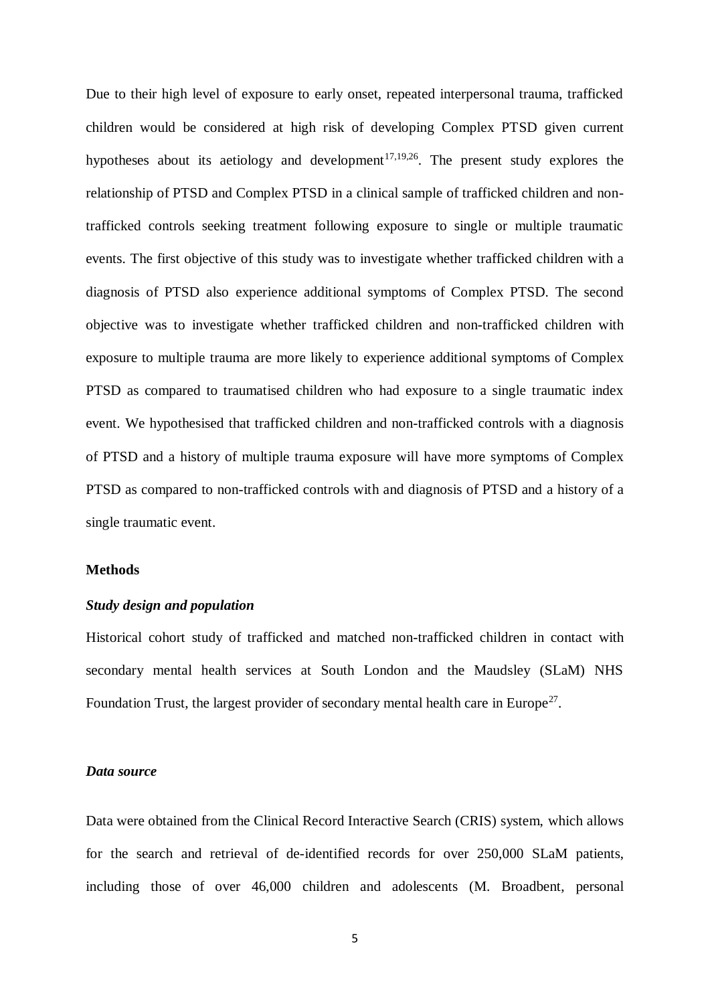Due to their high level of exposure to early onset, repeated interpersonal trauma, trafficked children would be considered at high risk of developing Complex PTSD given current hypotheses about its aetiology and development<sup>17,19,26</sup>. The present study explores the relationship of PTSD and Complex PTSD in a clinical sample of trafficked children and nontrafficked controls seeking treatment following exposure to single or multiple traumatic events. The first objective of this study was to investigate whether trafficked children with a diagnosis of PTSD also experience additional symptoms of Complex PTSD. The second objective was to investigate whether trafficked children and non-trafficked children with exposure to multiple trauma are more likely to experience additional symptoms of Complex PTSD as compared to traumatised children who had exposure to a single traumatic index event. We hypothesised that trafficked children and non-trafficked controls with a diagnosis of PTSD and a history of multiple trauma exposure will have more symptoms of Complex PTSD as compared to non-trafficked controls with and diagnosis of PTSD and a history of a single traumatic event.

# **Methods**

## *Study design and population*

Historical cohort study of trafficked and matched non-trafficked children in contact with secondary mental health services at South London and the Maudsley (SLaM) NHS Foundation Trust, the largest provider of secondary mental health care in Europe<sup>27</sup>.

# *Data source*

Data were obtained from the Clinical Record Interactive Search (CRIS) system, which allows for the search and retrieval of de-identified records for over 250,000 SLaM patients, including those of over 46,000 children and adolescents (M. Broadbent, personal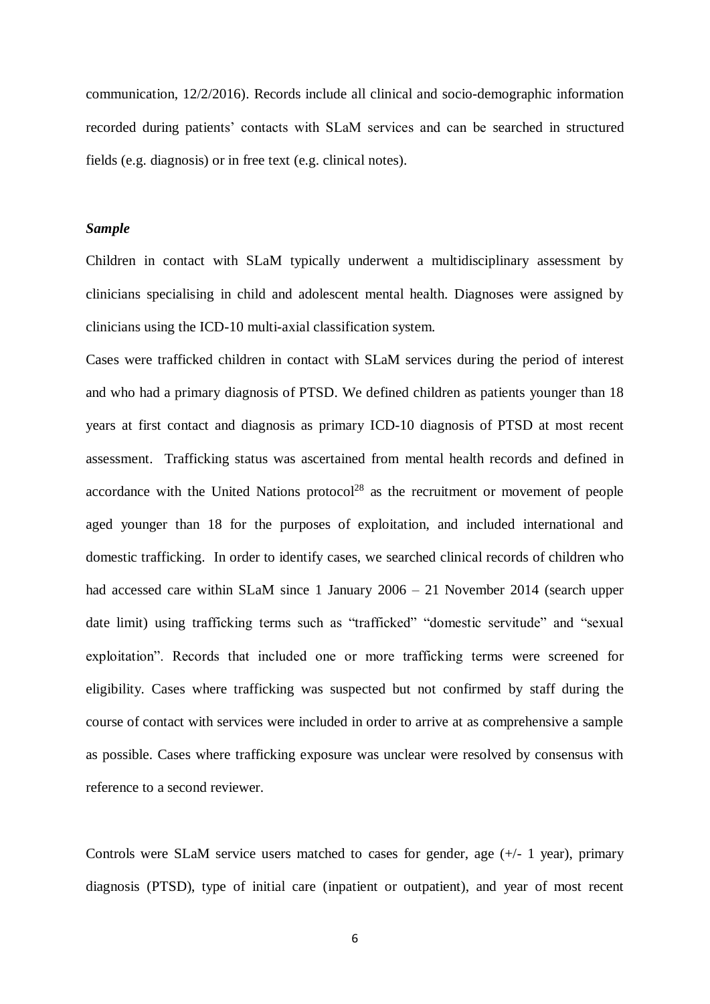communication, 12/2/2016). Records include all clinical and socio-demographic information recorded during patients' contacts with SLaM services and can be searched in structured fields (e.g. diagnosis) or in free text (e.g. clinical notes).

# *Sample*

Children in contact with SLaM typically underwent a multidisciplinary assessment by clinicians specialising in child and adolescent mental health. Diagnoses were assigned by clinicians using the ICD-10 multi-axial classification system.

Cases were trafficked children in contact with SLaM services during the period of interest and who had a primary diagnosis of PTSD. We defined children as patients younger than 18 years at first contact and diagnosis as primary ICD-10 diagnosis of PTSD at most recent assessment. Trafficking status was ascertained from mental health records and defined in accordance with the United Nations protocol<sup>28</sup> as the recruitment or movement of people aged younger than 18 for the purposes of exploitation, and included international and domestic trafficking. In order to identify cases, we searched clinical records of children who had accessed care within SLaM since 1 January 2006 – 21 November 2014 (search upper date limit) using trafficking terms such as "trafficked" "domestic servitude" and "sexual exploitation". Records that included one or more trafficking terms were screened for eligibility. Cases where trafficking was suspected but not confirmed by staff during the course of contact with services were included in order to arrive at as comprehensive a sample as possible. Cases where trafficking exposure was unclear were resolved by consensus with reference to a second reviewer.

Controls were SLaM service users matched to cases for gender, age  $(+/- 1 \text{ year})$ , primary diagnosis (PTSD), type of initial care (inpatient or outpatient), and year of most recent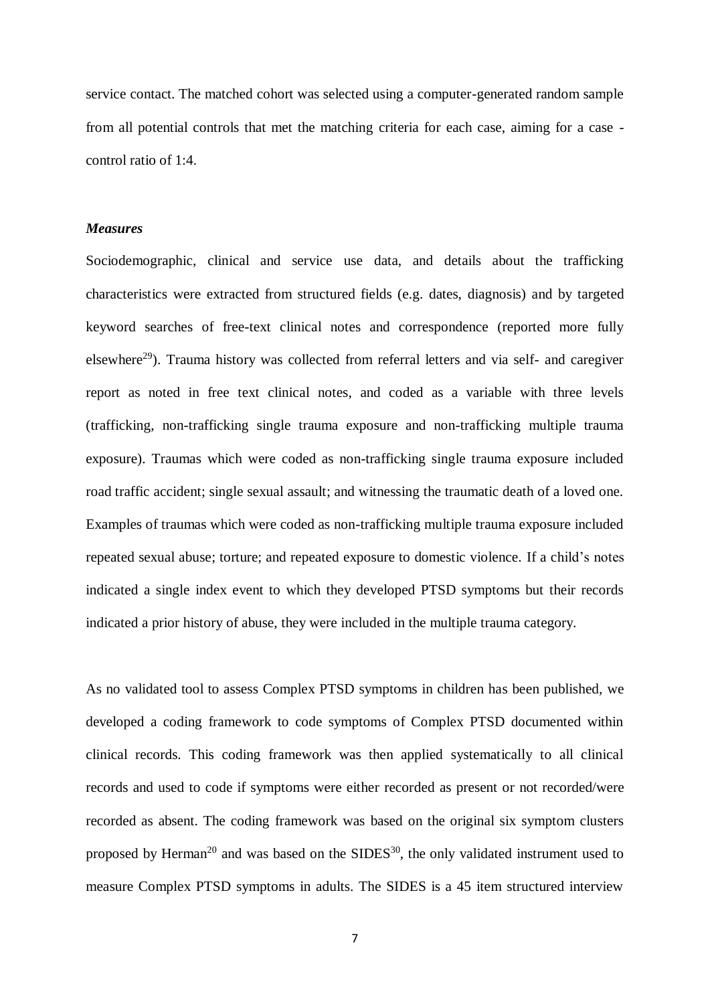service contact. The matched cohort was selected using a computer-generated random sample from all potential controls that met the matching criteria for each case, aiming for a case control ratio of 1:4.

# *Measures*

Sociodemographic, clinical and service use data, and details about the trafficking characteristics were extracted from structured fields (e.g. dates, diagnosis) and by targeted keyword searches of free-text clinical notes and correspondence (reported more fully elsewhere<sup>29</sup>). Trauma history was collected from referral letters and via self- and caregiver report as noted in free text clinical notes, and coded as a variable with three levels (trafficking, non-trafficking single trauma exposure and non-trafficking multiple trauma exposure). Traumas which were coded as non-trafficking single trauma exposure included road traffic accident; single sexual assault; and witnessing the traumatic death of a loved one. Examples of traumas which were coded as non-trafficking multiple trauma exposure included repeated sexual abuse; torture; and repeated exposure to domestic violence. If a child's notes indicated a single index event to which they developed PTSD symptoms but their records indicated a prior history of abuse, they were included in the multiple trauma category.

As no validated tool to assess Complex PTSD symptoms in children has been published, we developed a coding framework to code symptoms of Complex PTSD documented within clinical records. This coding framework was then applied systematically to all clinical records and used to code if symptoms were either recorded as present or not recorded/were recorded as absent. The coding framework was based on the original six symptom clusters proposed by Herman<sup>20</sup> and was based on the  $SIDES<sup>30</sup>$ , the only validated instrument used to measure Complex PTSD symptoms in adults. The SIDES is a 45 item structured interview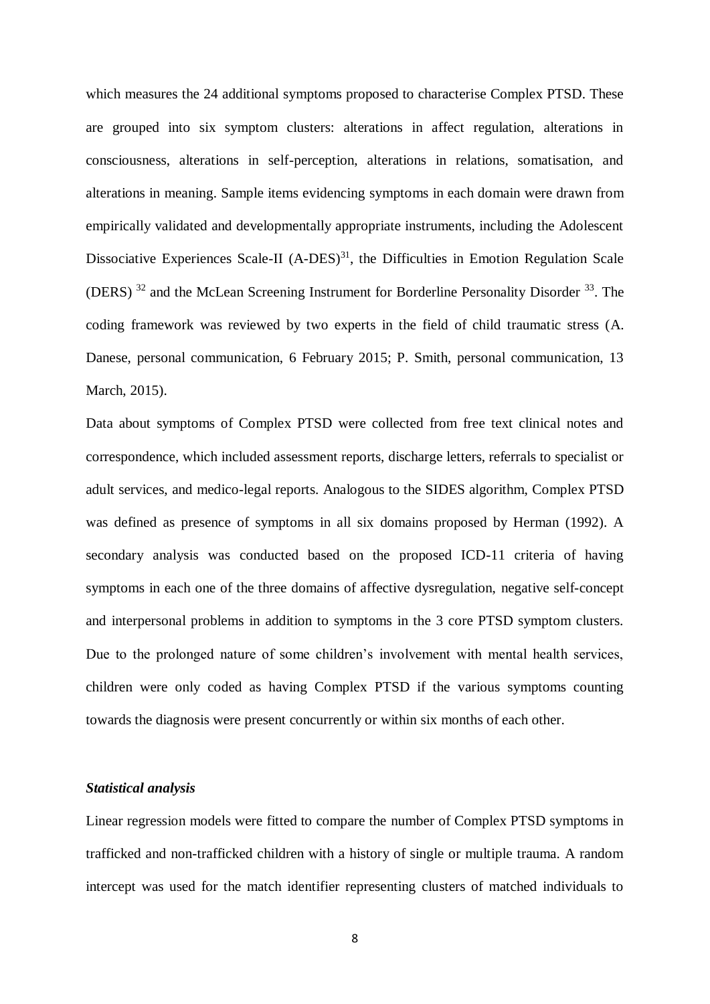which measures the 24 additional symptoms proposed to characterise Complex PTSD. These are grouped into six symptom clusters: alterations in affect regulation, alterations in consciousness, alterations in self-perception, alterations in relations, somatisation, and alterations in meaning. Sample items evidencing symptoms in each domain were drawn from empirically validated and developmentally appropriate instruments, including the Adolescent Dissociative Experiences Scale-II (A-DES)<sup>31</sup>, the Difficulties in Emotion Regulation Scale (DERS)<sup>32</sup> and the McLean Screening Instrument for Borderline Personality Disorder<sup>33</sup>. The coding framework was reviewed by two experts in the field of child traumatic stress (A. Danese, personal communication, 6 February 2015; P. Smith, personal communication, 13 March, 2015).

Data about symptoms of Complex PTSD were collected from free text clinical notes and correspondence, which included assessment reports, discharge letters, referrals to specialist or adult services, and medico-legal reports. Analogous to the SIDES algorithm, Complex PTSD was defined as presence of symptoms in all six domains proposed by Herman (1992). A secondary analysis was conducted based on the proposed ICD-11 criteria of having symptoms in each one of the three domains of affective dysregulation, negative self-concept and interpersonal problems in addition to symptoms in the 3 core PTSD symptom clusters. Due to the prolonged nature of some children's involvement with mental health services, children were only coded as having Complex PTSD if the various symptoms counting towards the diagnosis were present concurrently or within six months of each other.

## *Statistical analysis*

Linear regression models were fitted to compare the number of Complex PTSD symptoms in trafficked and non-trafficked children with a history of single or multiple trauma. A random intercept was used for the match identifier representing clusters of matched individuals to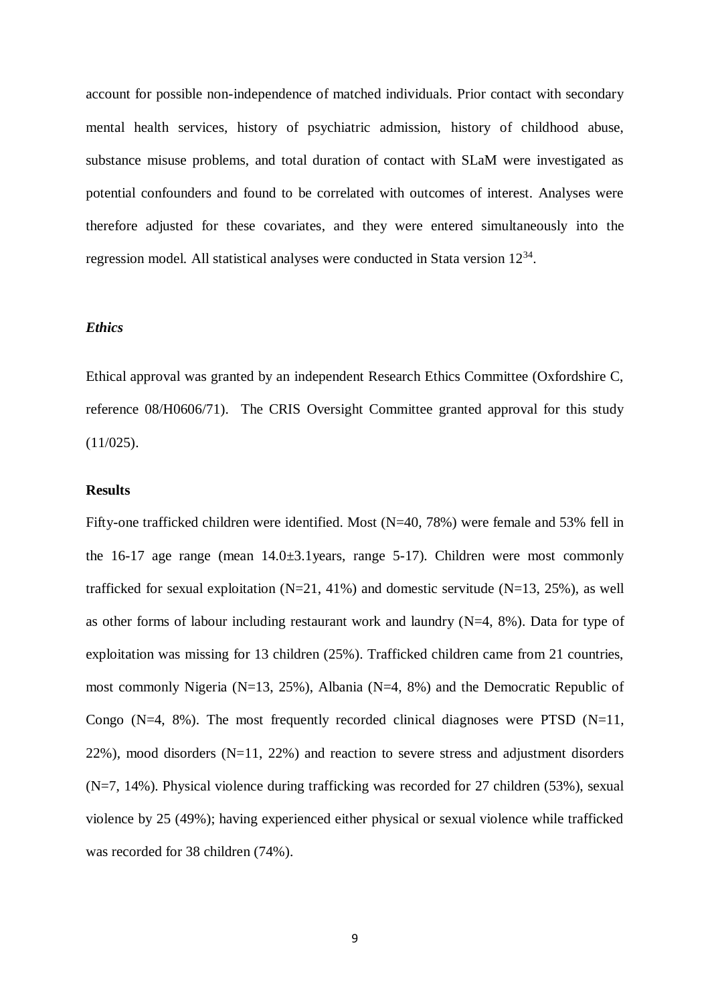account for possible non-independence of matched individuals. Prior contact with secondary mental health services, history of psychiatric admission, history of childhood abuse, substance misuse problems, and total duration of contact with SLaM were investigated as potential confounders and found to be correlated with outcomes of interest. Analyses were therefore adjusted for these covariates, and they were entered simultaneously into the regression model. All statistical analyses were conducted in Stata version  $12^{34}$ .

## *Ethics*

Ethical approval was granted by an independent Research Ethics Committee (Oxfordshire C, reference 08/H0606/71). The CRIS Oversight Committee granted approval for this study  $(11/025)$ .

# **Results**

Fifty-one trafficked children were identified. Most (N=40, 78%) were female and 53% fell in the 16-17 age range (mean 14.0±3.1years, range 5-17). Children were most commonly trafficked for sexual exploitation  $(N=21, 41\%)$  and domestic servitude  $(N=13, 25\%)$ , as well as other forms of labour including restaurant work and laundry (N=4, 8%). Data for type of exploitation was missing for 13 children (25%). Trafficked children came from 21 countries, most commonly Nigeria (N=13, 25%), Albania (N=4, 8%) and the Democratic Republic of Congo ( $N=4$ ,  $8\%$ ). The most frequently recorded clinical diagnoses were PTSD ( $N=11$ ,  $22\%$ ), mood disorders (N=11, 22%) and reaction to severe stress and adjustment disorders (N=7, 14%). Physical violence during trafficking was recorded for 27 children (53%), sexual violence by 25 (49%); having experienced either physical or sexual violence while trafficked was recorded for 38 children (74%).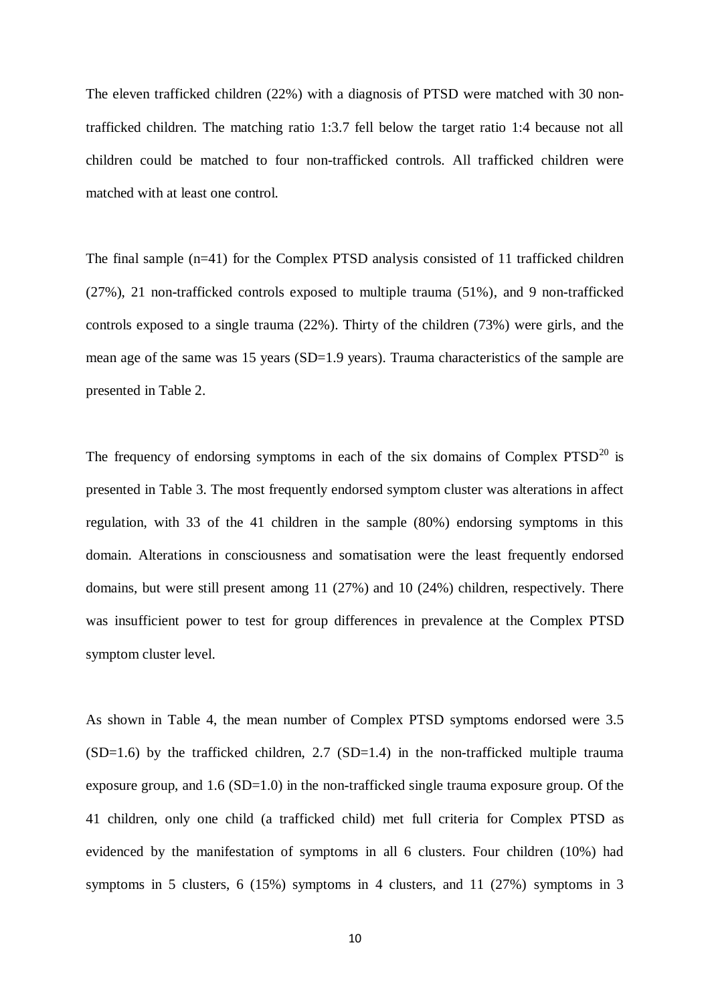The eleven trafficked children (22%) with a diagnosis of PTSD were matched with 30 nontrafficked children. The matching ratio 1:3.7 fell below the target ratio 1:4 because not all children could be matched to four non-trafficked controls. All trafficked children were matched with at least one control.

The final sample (n=41) for the Complex PTSD analysis consisted of 11 trafficked children (27%), 21 non-trafficked controls exposed to multiple trauma (51%), and 9 non-trafficked controls exposed to a single trauma (22%). Thirty of the children (73%) were girls, and the mean age of the same was 15 years (SD=1.9 years). Trauma characteristics of the sample are presented in Table 2.

The frequency of endorsing symptoms in each of the six domains of Complex  $PTSD<sup>20</sup>$  is presented in Table 3. The most frequently endorsed symptom cluster was alterations in affect regulation, with 33 of the 41 children in the sample (80%) endorsing symptoms in this domain. Alterations in consciousness and somatisation were the least frequently endorsed domains, but were still present among 11 (27%) and 10 (24%) children, respectively. There was insufficient power to test for group differences in prevalence at the Complex PTSD symptom cluster level.

As shown in Table 4, the mean number of Complex PTSD symptoms endorsed were 3.5  $(SD=1.6)$  by the trafficked children, 2.7  $(SD=1.4)$  in the non-trafficked multiple trauma exposure group, and 1.6 (SD=1.0) in the non-trafficked single trauma exposure group. Of the 41 children, only one child (a trafficked child) met full criteria for Complex PTSD as evidenced by the manifestation of symptoms in all 6 clusters. Four children (10%) had symptoms in 5 clusters, 6 (15%) symptoms in 4 clusters, and 11 (27%) symptoms in 3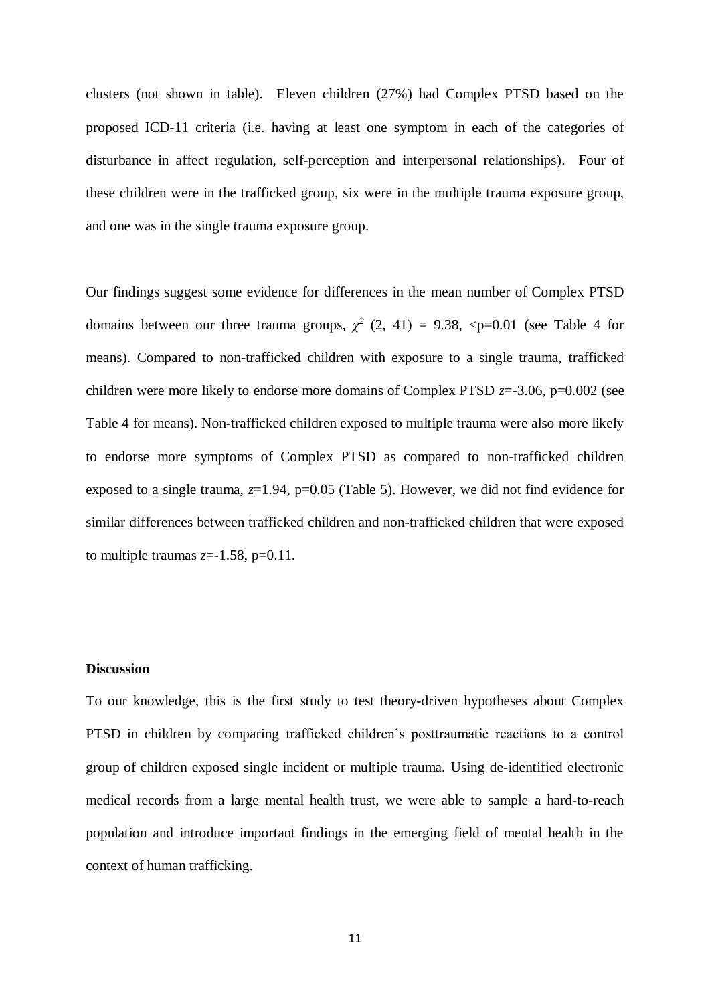clusters (not shown in table). Eleven children (27%) had Complex PTSD based on the proposed ICD-11 criteria (i.e. having at least one symptom in each of the categories of disturbance in affect regulation, self-perception and interpersonal relationships). Four of these children were in the trafficked group, six were in the multiple trauma exposure group, and one was in the single trauma exposure group.

Our findings suggest some evidence for differences in the mean number of Complex PTSD domains between our three trauma groups,  $\chi^2$  (2, 41) = 9.38, <p=0.01 (see Table 4 for means). Compared to non-trafficked children with exposure to a single trauma, trafficked children were more likely to endorse more domains of Complex PTSD  $z=3.06$ ,  $p=0.002$  (see Table 4 for means). Non-trafficked children exposed to multiple trauma were also more likely to endorse more symptoms of Complex PTSD as compared to non-trafficked children exposed to a single trauma,  $z=1.94$ ,  $p=0.05$  (Table 5). However, we did not find evidence for similar differences between trafficked children and non-trafficked children that were exposed to multiple traumas  $z=1.58$ ,  $p=0.11$ .

#### **Discussion**

To our knowledge, this is the first study to test theory-driven hypotheses about Complex PTSD in children by comparing trafficked children's posttraumatic reactions to a control group of children exposed single incident or multiple trauma. Using de-identified electronic medical records from a large mental health trust, we were able to sample a hard-to-reach population and introduce important findings in the emerging field of mental health in the context of human trafficking.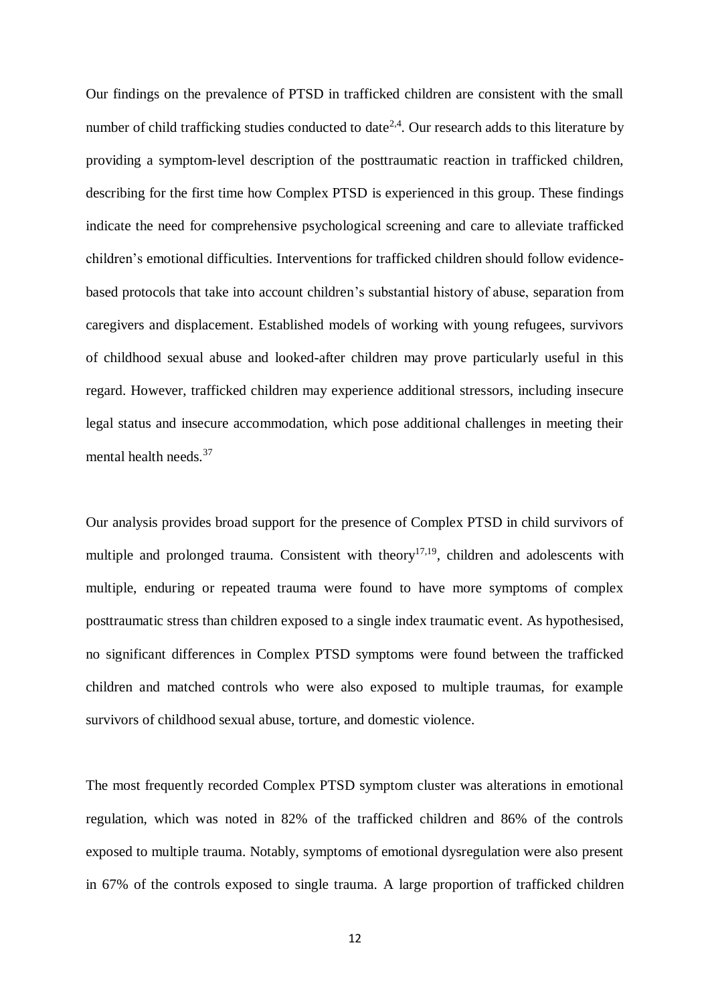Our findings on the prevalence of PTSD in trafficked children are consistent with the small number of child trafficking studies conducted to date<sup>2,4</sup>. Our research adds to this literature by providing a symptom-level description of the posttraumatic reaction in trafficked children, describing for the first time how Complex PTSD is experienced in this group. These findings indicate the need for comprehensive psychological screening and care to alleviate trafficked children's emotional difficulties. Interventions for trafficked children should follow evidencebased protocols that take into account children's substantial history of abuse, separation from caregivers and displacement. Established models of working with young refugees, survivors of childhood sexual abuse and looked-after children may prove particularly useful in this regard. However, trafficked children may experience additional stressors, including insecure legal status and insecure accommodation, which pose additional challenges in meeting their mental health needs.<sup>37</sup>

Our analysis provides broad support for the presence of Complex PTSD in child survivors of multiple and prolonged trauma. Consistent with theory<sup>17,19</sup>, children and adolescents with multiple, enduring or repeated trauma were found to have more symptoms of complex posttraumatic stress than children exposed to a single index traumatic event. As hypothesised, no significant differences in Complex PTSD symptoms were found between the trafficked children and matched controls who were also exposed to multiple traumas, for example survivors of childhood sexual abuse, torture, and domestic violence.

The most frequently recorded Complex PTSD symptom cluster was alterations in emotional regulation, which was noted in 82% of the trafficked children and 86% of the controls exposed to multiple trauma. Notably, symptoms of emotional dysregulation were also present in 67% of the controls exposed to single trauma. A large proportion of trafficked children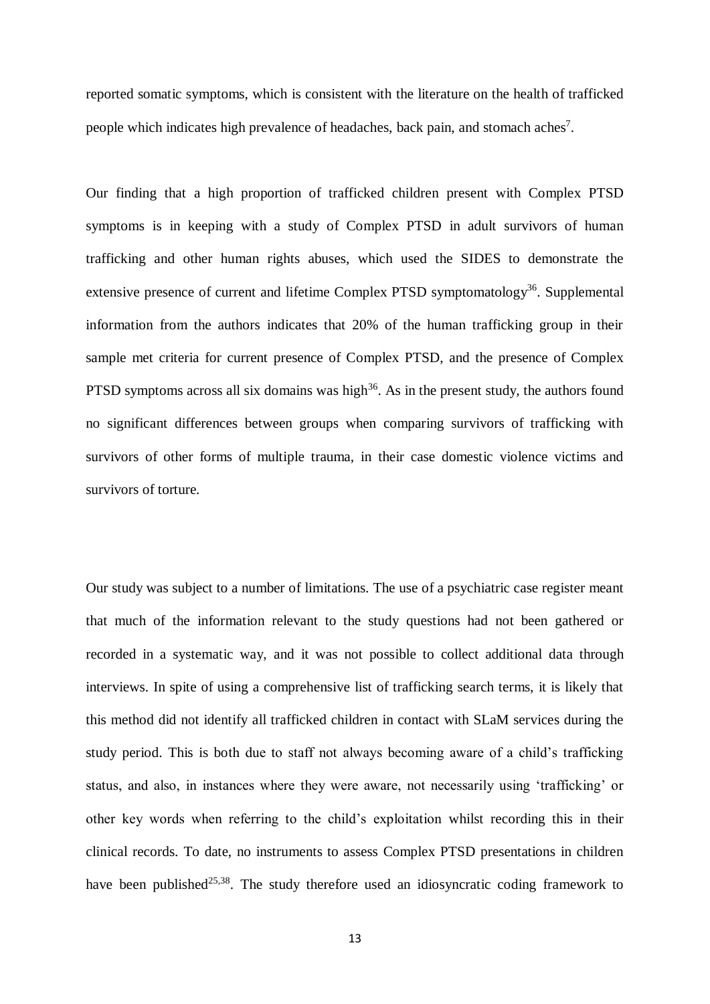reported somatic symptoms, which is consistent with the literature on the health of trafficked people which indicates high prevalence of headaches, back pain, and stomach aches<sup>7</sup>.

Our finding that a high proportion of trafficked children present with Complex PTSD symptoms is in keeping with a study of Complex PTSD in adult survivors of human trafficking and other human rights abuses, which used the SIDES to demonstrate the extensive presence of current and lifetime Complex PTSD symptomatology<sup>36</sup>. Supplemental information from the authors indicates that 20% of the human trafficking group in their sample met criteria for current presence of Complex PTSD, and the presence of Complex PTSD symptoms across all six domains was high $36$ . As in the present study, the authors found no significant differences between groups when comparing survivors of trafficking with survivors of other forms of multiple trauma, in their case domestic violence victims and survivors of torture.

Our study was subject to a number of limitations. The use of a psychiatric case register meant that much of the information relevant to the study questions had not been gathered or recorded in a systematic way, and it was not possible to collect additional data through interviews. In spite of using a comprehensive list of trafficking search terms, it is likely that this method did not identify all trafficked children in contact with SLaM services during the study period. This is both due to staff not always becoming aware of a child's trafficking status, and also, in instances where they were aware, not necessarily using 'trafficking' or other key words when referring to the child's exploitation whilst recording this in their clinical records. To date, no instruments to assess Complex PTSD presentations in children have been published<sup>25,38</sup>. The study therefore used an idiosyncratic coding framework to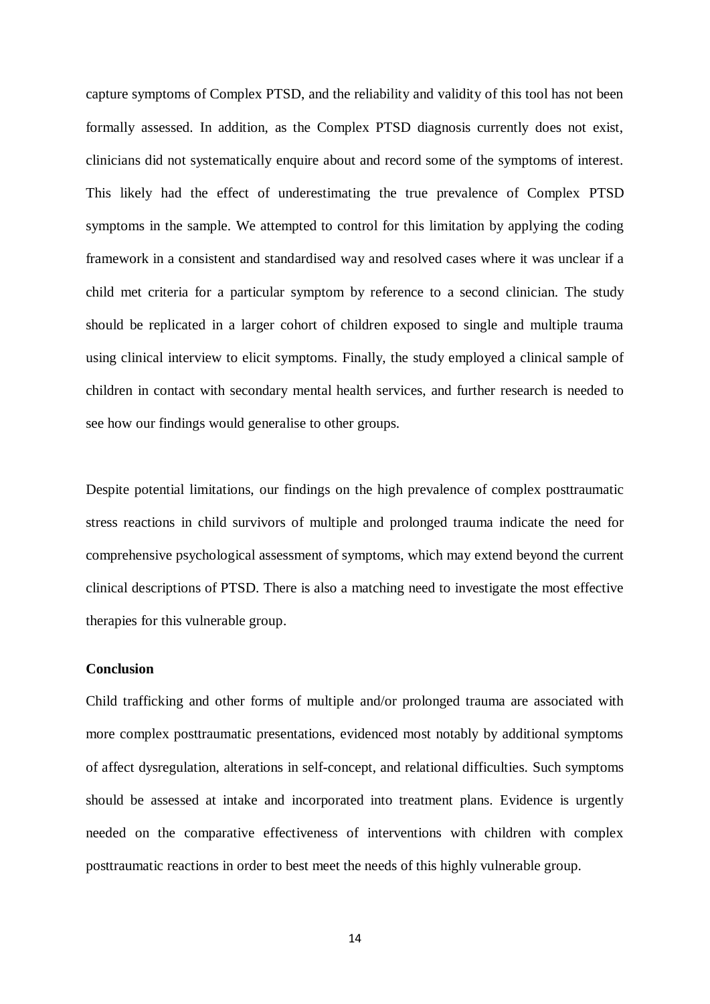capture symptoms of Complex PTSD, and the reliability and validity of this tool has not been formally assessed. In addition, as the Complex PTSD diagnosis currently does not exist, clinicians did not systematically enquire about and record some of the symptoms of interest. This likely had the effect of underestimating the true prevalence of Complex PTSD symptoms in the sample. We attempted to control for this limitation by applying the coding framework in a consistent and standardised way and resolved cases where it was unclear if a child met criteria for a particular symptom by reference to a second clinician. The study should be replicated in a larger cohort of children exposed to single and multiple trauma using clinical interview to elicit symptoms. Finally, the study employed a clinical sample of children in contact with secondary mental health services, and further research is needed to see how our findings would generalise to other groups.

Despite potential limitations, our findings on the high prevalence of complex posttraumatic stress reactions in child survivors of multiple and prolonged trauma indicate the need for comprehensive psychological assessment of symptoms, which may extend beyond the current clinical descriptions of PTSD. There is also a matching need to investigate the most effective therapies for this vulnerable group.

#### **Conclusion**

Child trafficking and other forms of multiple and/or prolonged trauma are associated with more complex posttraumatic presentations, evidenced most notably by additional symptoms of affect dysregulation, alterations in self-concept, and relational difficulties. Such symptoms should be assessed at intake and incorporated into treatment plans. Evidence is urgently needed on the comparative effectiveness of interventions with children with complex posttraumatic reactions in order to best meet the needs of this highly vulnerable group.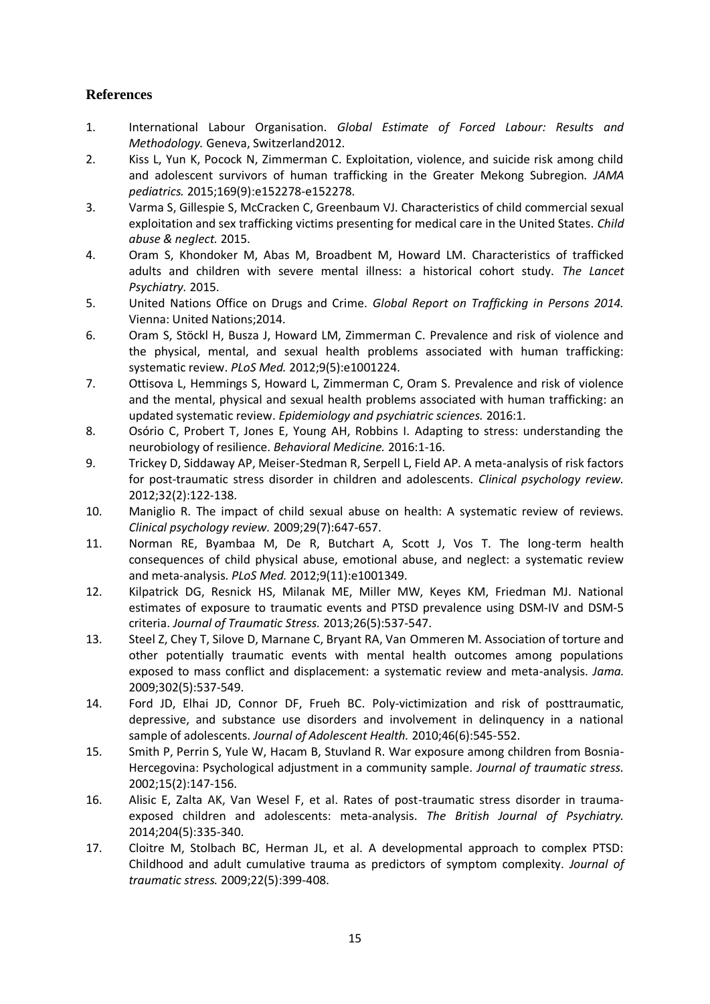# **References**

- 1. International Labour Organisation. *Global Estimate of Forced Labour: Results and Methodology.* Geneva, Switzerland2012.
- 2. Kiss L, Yun K, Pocock N, Zimmerman C. Exploitation, violence, and suicide risk among child and adolescent survivors of human trafficking in the Greater Mekong Subregion. *JAMA pediatrics.* 2015;169(9):e152278-e152278.
- 3. Varma S, Gillespie S, McCracken C, Greenbaum VJ. Characteristics of child commercial sexual exploitation and sex trafficking victims presenting for medical care in the United States. *Child abuse & neglect.* 2015.
- 4. Oram S, Khondoker M, Abas M, Broadbent M, Howard LM. Characteristics of trafficked adults and children with severe mental illness: a historical cohort study. *The Lancet Psychiatry.* 2015.
- 5. United Nations Office on Drugs and Crime. *Global Report on Trafficking in Persons 2014.*  Vienna: United Nations;2014.
- 6. Oram S, Stöckl H, Busza J, Howard LM, Zimmerman C. Prevalence and risk of violence and the physical, mental, and sexual health problems associated with human trafficking: systematic review. *PLoS Med.* 2012;9(5):e1001224.
- 7. Ottisova L, Hemmings S, Howard L, Zimmerman C, Oram S. Prevalence and risk of violence and the mental, physical and sexual health problems associated with human trafficking: an updated systematic review. *Epidemiology and psychiatric sciences.* 2016:1.
- 8. Osório C, Probert T, Jones E, Young AH, Robbins I. Adapting to stress: understanding the neurobiology of resilience. *Behavioral Medicine.* 2016:1-16.
- 9. Trickey D, Siddaway AP, Meiser-Stedman R, Serpell L, Field AP. A meta-analysis of risk factors for post-traumatic stress disorder in children and adolescents. *Clinical psychology review.*  2012;32(2):122-138.
- 10. Maniglio R. The impact of child sexual abuse on health: A systematic review of reviews. *Clinical psychology review.* 2009;29(7):647-657.
- 11. Norman RE, Byambaa M, De R, Butchart A, Scott J, Vos T. The long-term health consequences of child physical abuse, emotional abuse, and neglect: a systematic review and meta-analysis. *PLoS Med.* 2012;9(11):e1001349.
- 12. Kilpatrick DG, Resnick HS, Milanak ME, Miller MW, Keyes KM, Friedman MJ. National estimates of exposure to traumatic events and PTSD prevalence using DSM-IV and DSM-5 criteria. *Journal of Traumatic Stress.* 2013;26(5):537-547.
- 13. Steel Z, Chey T, Silove D, Marnane C, Bryant RA, Van Ommeren M. Association of torture and other potentially traumatic events with mental health outcomes among populations exposed to mass conflict and displacement: a systematic review and meta-analysis. *Jama.*  2009;302(5):537-549.
- 14. Ford JD, Elhai JD, Connor DF, Frueh BC. Poly-victimization and risk of posttraumatic, depressive, and substance use disorders and involvement in delinquency in a national sample of adolescents. *Journal of Adolescent Health.* 2010;46(6):545-552.
- 15. Smith P, Perrin S, Yule W, Hacam B, Stuvland R. War exposure among children from Bosnia-Hercegovina: Psychological adjustment in a community sample. *Journal of traumatic stress.*  2002;15(2):147-156.
- 16. Alisic E, Zalta AK, Van Wesel F, et al. Rates of post-traumatic stress disorder in traumaexposed children and adolescents: meta-analysis. *The British Journal of Psychiatry.*  2014;204(5):335-340.
- 17. Cloitre M, Stolbach BC, Herman JL, et al. A developmental approach to complex PTSD: Childhood and adult cumulative trauma as predictors of symptom complexity. *Journal of traumatic stress.* 2009;22(5):399-408.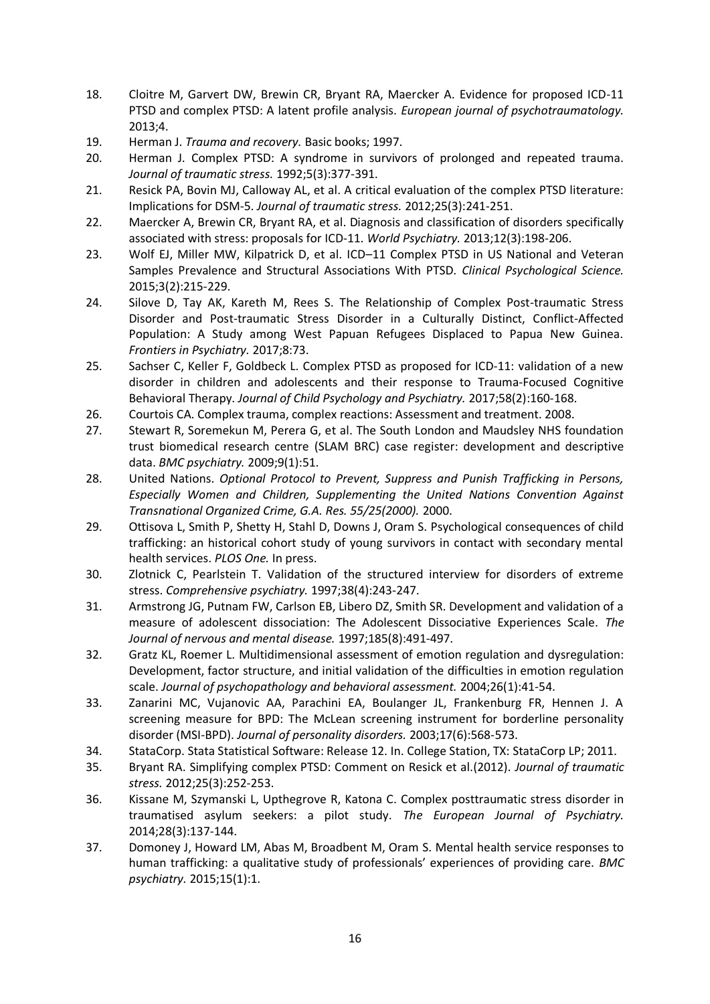- 18. Cloitre M, Garvert DW, Brewin CR, Bryant RA, Maercker A. Evidence for proposed ICD-11 PTSD and complex PTSD: A latent profile analysis. *European journal of psychotraumatology.*  2013;4.
- 19. Herman J. *Trauma and recovery.* Basic books; 1997.
- 20. Herman J. Complex PTSD: A syndrome in survivors of prolonged and repeated trauma. *Journal of traumatic stress.* 1992;5(3):377-391.
- 21. Resick PA, Bovin MJ, Calloway AL, et al. A critical evaluation of the complex PTSD literature: Implications for DSM‐5. *Journal of traumatic stress.* 2012;25(3):241-251.
- 22. Maercker A, Brewin CR, Bryant RA, et al. Diagnosis and classification of disorders specifically associated with stress: proposals for ICD‐11. *World Psychiatry.* 2013;12(3):198-206.
- 23. Wolf EJ, Miller MW, Kilpatrick D, et al. ICD–11 Complex PTSD in US National and Veteran Samples Prevalence and Structural Associations With PTSD. *Clinical Psychological Science.*  2015;3(2):215-229.
- 24. Silove D, Tay AK, Kareth M, Rees S. The Relationship of Complex Post-traumatic Stress Disorder and Post-traumatic Stress Disorder in a Culturally Distinct, Conflict-Affected Population: A Study among West Papuan Refugees Displaced to Papua New Guinea. *Frontiers in Psychiatry.* 2017;8:73.
- 25. Sachser C, Keller F, Goldbeck L. Complex PTSD as proposed for ICD-11: validation of a new disorder in children and adolescents and their response to Trauma‐Focused Cognitive Behavioral Therapy. *Journal of Child Psychology and Psychiatry.* 2017;58(2):160-168.
- 26. Courtois CA. Complex trauma, complex reactions: Assessment and treatment. 2008.
- 27. Stewart R, Soremekun M, Perera G, et al. The South London and Maudsley NHS foundation trust biomedical research centre (SLAM BRC) case register: development and descriptive data. *BMC psychiatry.* 2009;9(1):51.
- 28. United Nations. *Optional Protocol to Prevent, Suppress and Punish Trafficking in Persons, Especially Women and Children, Supplementing the United Nations Convention Against Transnational Organized Crime, G.A. Res. 55/25(2000).* 2000.
- 29. Ottisova L, Smith P, Shetty H, Stahl D, Downs J, Oram S. Psychological consequences of child trafficking: an historical cohort study of young survivors in contact with secondary mental health services. *PLOS One.* In press.
- 30. Zlotnick C, Pearlstein T. Validation of the structured interview for disorders of extreme stress. *Comprehensive psychiatry.* 1997;38(4):243-247.
- 31. Armstrong JG, Putnam FW, Carlson EB, Libero DZ, Smith SR. Development and validation of a measure of adolescent dissociation: The Adolescent Dissociative Experiences Scale. *The Journal of nervous and mental disease.* 1997;185(8):491-497.
- 32. Gratz KL, Roemer L. Multidimensional assessment of emotion regulation and dysregulation: Development, factor structure, and initial validation of the difficulties in emotion regulation scale. *Journal of psychopathology and behavioral assessment.* 2004;26(1):41-54.
- 33. Zanarini MC, Vujanovic AA, Parachini EA, Boulanger JL, Frankenburg FR, Hennen J. A screening measure for BPD: The McLean screening instrument for borderline personality disorder (MSI-BPD). *Journal of personality disorders.* 2003;17(6):568-573.
- 34. StataCorp. Stata Statistical Software: Release 12. In. College Station, TX: StataCorp LP; 2011.
- 35. Bryant RA. Simplifying complex PTSD: Comment on Resick et al.(2012). *Journal of traumatic stress.* 2012;25(3):252-253.
- 36. Kissane M, Szymanski L, Upthegrove R, Katona C. Complex posttraumatic stress disorder in traumatised asylum seekers: a pilot study. *The European Journal of Psychiatry.*  2014;28(3):137-144.
- 37. Domoney J, Howard LM, Abas M, Broadbent M, Oram S. Mental health service responses to human trafficking: a qualitative study of professionals' experiences of providing care. *BMC psychiatry.* 2015;15(1):1.